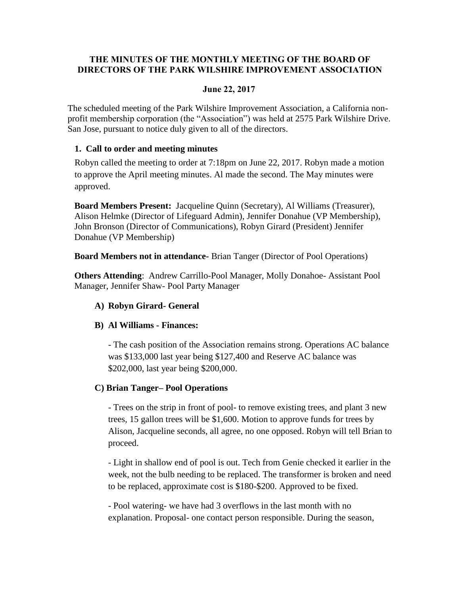# **THE MINUTES OF THE MONTHLY MEETING OF THE BOARD OF DIRECTORS OF THE PARK WILSHIRE IMPROVEMENT ASSOCIATION**

## **June 22, 2017**

The scheduled meeting of the Park Wilshire Improvement Association, a California nonprofit membership corporation (the "Association") was held at 2575 Park Wilshire Drive. San Jose, pursuant to notice duly given to all of the directors.

## **1. Call to order and meeting minutes**

Robyn called the meeting to order at 7:18pm on June 22, 2017. Robyn made a motion to approve the April meeting minutes. Al made the second. The May minutes were approved.

**Board Members Present:** Jacqueline Quinn (Secretary), Al Williams (Treasurer), Alison Helmke (Director of Lifeguard Admin), Jennifer Donahue (VP Membership), John Bronson (Director of Communications), Robyn Girard (President) Jennifer Donahue (VP Membership)

**Board Members not in attendance-** Brian Tanger (Director of Pool Operations)

**Others Attending**: Andrew Carrillo-Pool Manager, Molly Donahoe- Assistant Pool Manager, Jennifer Shaw- Pool Party Manager

# **A) Robyn Girard- General**

# **B) Al Williams - Finances:**

- The cash position of the Association remains strong. Operations AC balance was \$133,000 last year being \$127,400 and Reserve AC balance was \$202,000, last year being \$200,000.

# **C) Brian Tanger– Pool Operations**

- Trees on the strip in front of pool- to remove existing trees, and plant 3 new trees, 15 gallon trees will be \$1,600. Motion to approve funds for trees by Alison, Jacqueline seconds, all agree, no one opposed. Robyn will tell Brian to proceed.

- Light in shallow end of pool is out. Tech from Genie checked it earlier in the week, not the bulb needing to be replaced. The transformer is broken and need to be replaced, approximate cost is \$180-\$200. Approved to be fixed.

- Pool watering- we have had 3 overflows in the last month with no explanation. Proposal- one contact person responsible. During the season,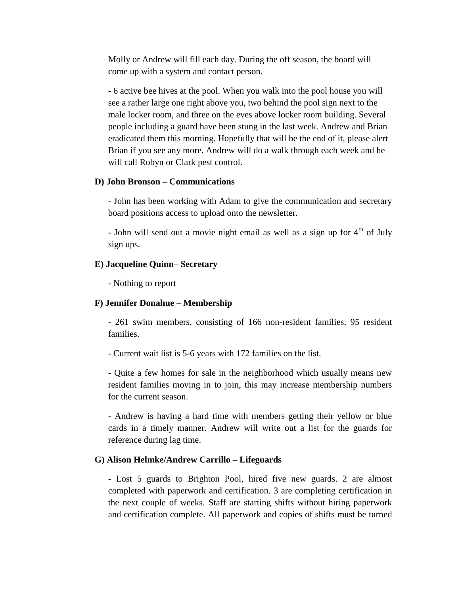Molly or Andrew will fill each day. During the off season, the board will come up with a system and contact person.

- 6 active bee hives at the pool. When you walk into the pool house you will see a rather large one right above you, two behind the pool sign next to the male locker room, and three on the eves above locker room building. Several people including a guard have been stung in the last week. Andrew and Brian eradicated them this morning. Hopefully that will be the end of it, please alert Brian if you see any more. Andrew will do a walk through each week and he will call Robyn or Clark pest control.

### **D) John Bronson – Communications**

- John has been working with Adam to give the communication and secretary board positions access to upload onto the newsletter.

- John will send out a movie night email as well as a sign up for  $4<sup>th</sup>$  of July sign ups.

### **E) Jacqueline Quinn– Secretary**

- Nothing to report

#### **F) Jennifer Donahue – Membership**

- 261 swim members, consisting of 166 non-resident families, 95 resident families.

- Current wait list is 5-6 years with 172 families on the list.

- Quite a few homes for sale in the neighborhood which usually means new resident families moving in to join, this may increase membership numbers for the current season.

- Andrew is having a hard time with members getting their yellow or blue cards in a timely manner. Andrew will write out a list for the guards for reference during lag time.

#### **G) Alison Helmke/Andrew Carrillo – Lifeguards**

- Lost 5 guards to Brighton Pool, hired five new guards. 2 are almost completed with paperwork and certification. 3 are completing certification in the next couple of weeks. Staff are starting shifts without hiring paperwork and certification complete. All paperwork and copies of shifts must be turned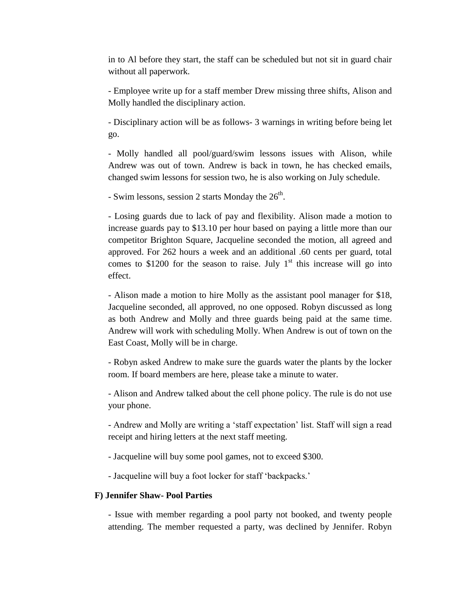in to Al before they start, the staff can be scheduled but not sit in guard chair without all paperwork.

- Employee write up for a staff member Drew missing three shifts, Alison and Molly handled the disciplinary action.

- Disciplinary action will be as follows- 3 warnings in writing before being let go.

- Molly handled all pool/guard/swim lessons issues with Alison, while Andrew was out of town. Andrew is back in town, he has checked emails, changed swim lessons for session two, he is also working on July schedule.

- Swim lessons, session 2 starts Monday the  $26<sup>th</sup>$ .

- Losing guards due to lack of pay and flexibility. Alison made a motion to increase guards pay to \$13.10 per hour based on paying a little more than our competitor Brighton Square, Jacqueline seconded the motion, all agreed and approved. For 262 hours a week and an additional .60 cents per guard, total comes to \$1200 for the season to raise. July  $1<sup>st</sup>$  this increase will go into effect.

- Alison made a motion to hire Molly as the assistant pool manager for \$18, Jacqueline seconded, all approved, no one opposed. Robyn discussed as long as both Andrew and Molly and three guards being paid at the same time. Andrew will work with scheduling Molly. When Andrew is out of town on the East Coast, Molly will be in charge.

- Robyn asked Andrew to make sure the guards water the plants by the locker room. If board members are here, please take a minute to water.

- Alison and Andrew talked about the cell phone policy. The rule is do not use your phone.

- Andrew and Molly are writing a 'staff expectation' list. Staff will sign a read receipt and hiring letters at the next staff meeting.

- Jacqueline will buy some pool games, not to exceed \$300.

- Jacqueline will buy a foot locker for staff 'backpacks.'

### **F) Jennifer Shaw- Pool Parties**

- Issue with member regarding a pool party not booked, and twenty people attending. The member requested a party, was declined by Jennifer. Robyn